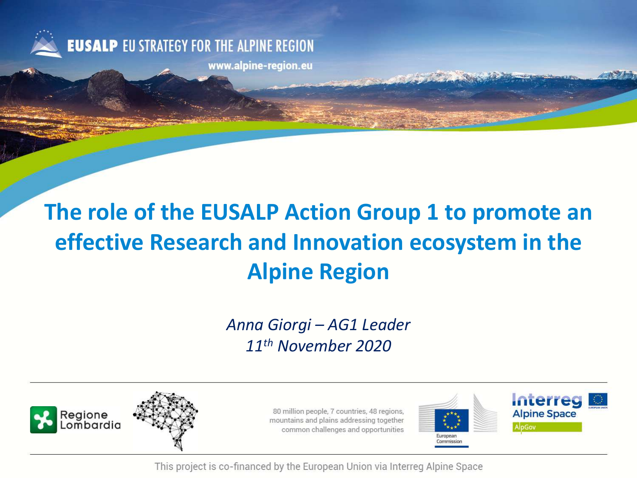

**EUSALP EU STRATEGY FOR THE ALPINE REGION** 

www.alpine-region.eu

# **The role of the EUSALP Action Group 1 to promote an effective Research and Innovation ecosystem in the Alpine Region**

#### *Anna Giorgi – AG1 Leader 11th November 2020*





80 million people, 7 countries, 48 regions, mountains and plains addressing together common challenges and opportunities

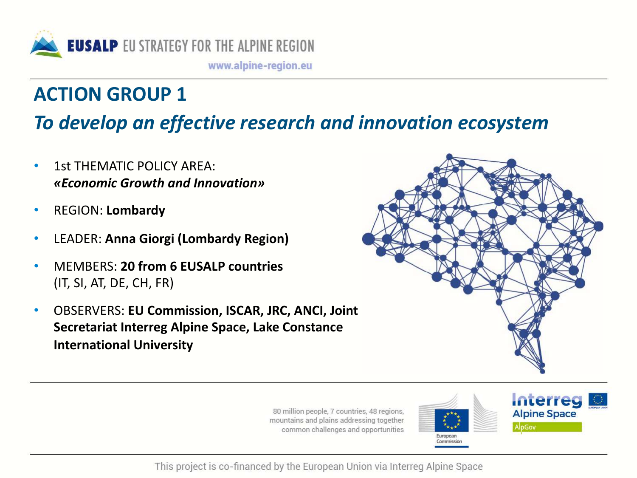

## **ACTION GROUP 1**  *To develop an effective research and innovation ecosystem*

- 1st THEMATIC POLICY AREA: *«Economic Growth and Innovation»*
- REGION: **Lombardy**
- LEADER: **Anna Giorgi (Lombardy Region)**
- MEMBERS: **20 from 6 EUSALP countries** (IT, SI, AT, DE, CH, FR)
- OBSERVERS: **EU Commission, ISCAR, JRC, ANCI, Joint Secretariat Interreg Alpine Space, Lake Constance International University**



80 million people, 7 countries, 48 regions, mountains and plains addressing together common challenges and opportunities

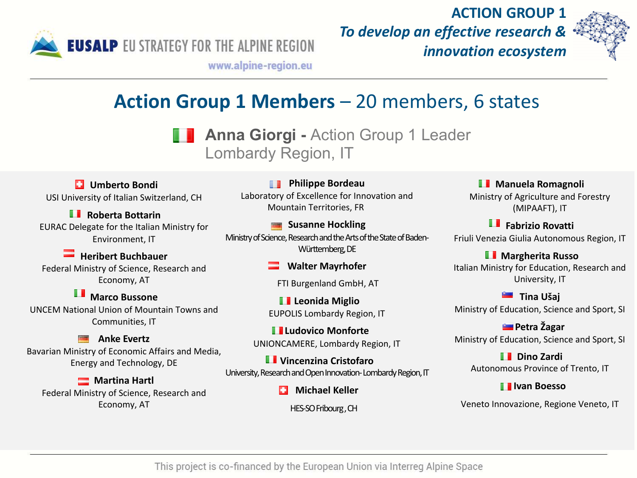

**ACTION GROUP 1**  *To develop an effective research & innovation ecosystem* 



www.alpine-region.eu

#### **Action Group 1 Members** – 20 members, 6 states

**Anna Giorgi -** Action Group 1 Leader Lombardy Region, IT

**Umberto Bondi** USI University of Italian Switzerland, CH

**Roberta Bottarin** EURAC Delegate for the Italian Ministry for Environment, IT

**Heribert Buchbauer** Federal Ministry of Science, Research and Economy, AT

**Marco Bussone** UNCEM National Union of Mountain Towns and Communities, IT

**Anke Evertz**  Bavarian Ministry of Economic Affairs and Media, Energy and Technology, DE

**Martina Hartl** Federal Ministry of Science, Research and Economy, AT

**Philippe Bordeau** Laboratory of Excellence for Innovation and Mountain Territories, FR

**Susanne Hockling** Ministry of Science, Research and the Arts of the State of Baden-Württemberg, DE

**Walter Mayrhofer**

FTI Burgenland GmbH, AT

**Leonida Miglio** EUPOLIS Lombardy Region, IT

**Ludovico Monforte** UNIONCAMERE, Lombardy Region, IT

**Vincenzina Cristofaro** University, Research and Open Innovation-Lombardy Region, IT

**Michael Keller**

HES-SO Fribourg , CH

**Manuela Romagnoli** Ministry of Agriculture and Forestry (MIPAAFT), IT

**Fabrizio Rovatti** Friuli Venezia Giulia Autonomous Region, IT

**Margherita Russo** Italian Ministry for Education, Research and University, IT

**Tina Ušaj**

Ministry of Education, Science and Sport, SI

**Petra Žagar** Ministry of Education, Science and Sport, SI

**Dino Zardi** Autonomous Province of Trento, IT

#### **Ivan Boesso**

Veneto Innovazione, Regione Veneto, IT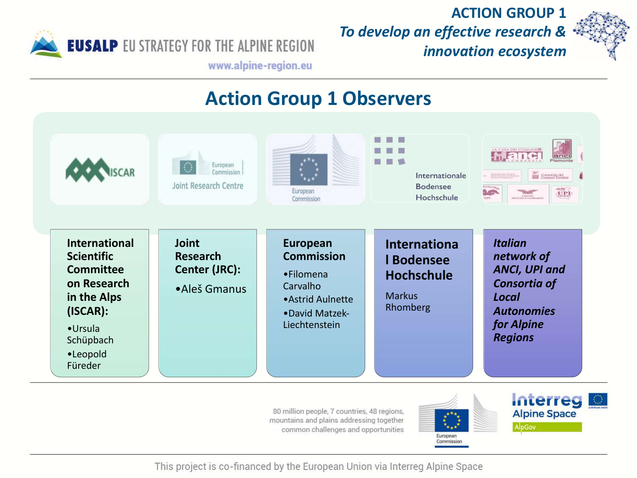

**ACTION GROUP 1**  *To develop an effective research & innovation ecosystem* 



www.alpine-region.eu

#### **Action Group 1 Observers**



80 million people, 7 countries, 48 regions, mountains and plains addressing together common challenges and opportunities



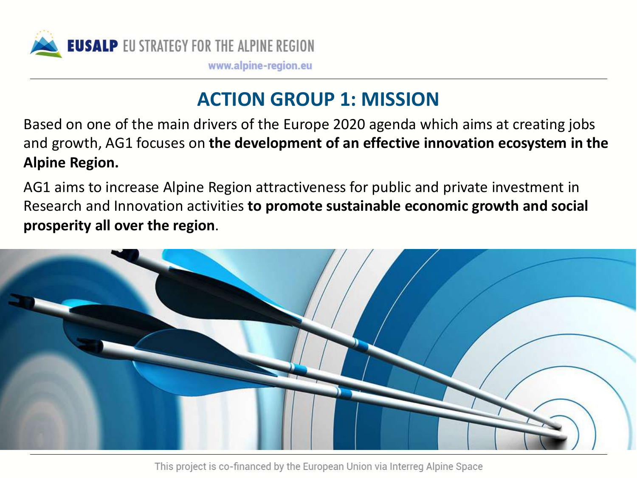

### **ACTION GROUP 1: MISSION**

Based on one of the main drivers of the Europe 2020 agenda which aims at creating jobs and growth, AG1 focuses on **the development of an effective innovation ecosystem in the Alpine Region.** 

AG1 aims to increase Alpine Region attractiveness for public and private investment in Research and Innovation activities **to promote sustainable economic growth and social prosperity all over the region**.

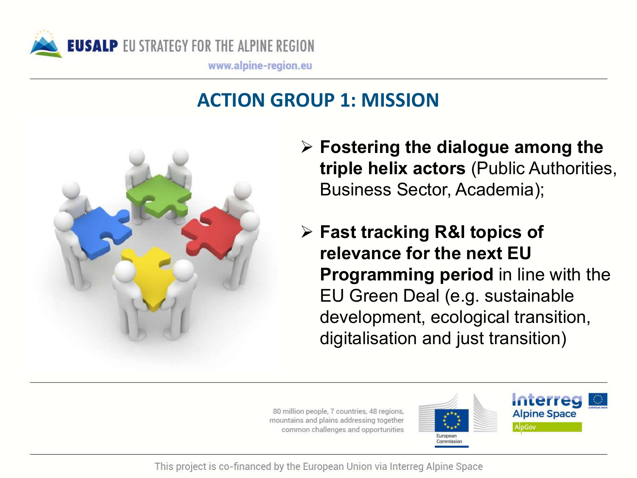

### **ACTION GROUP 1: MISSION**



- Ø **Fostering the dialogue among the triple helix actors** (Public Authorities, Business Sector, Academia);
- Ø **Fast tracking R&I topics of relevance for the next EU Programming period** in line with the EU Green Deal (e.g. sustainable development, ecological transition, digitalisation and just transition)

80 million people, 7 countries, 48 regions, mountains and plains addressing together common challenges and opportunities

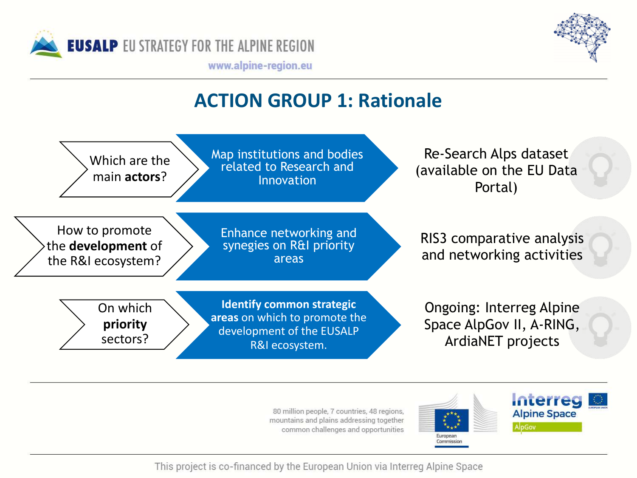



### **ACTION GROUP 1: Rationale**



80 million people, 7 countries, 48 regions, mountains and plains addressing together common challenges and opportunities

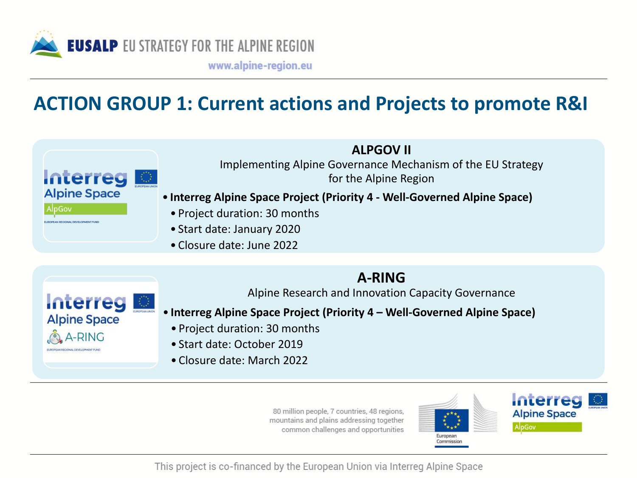

#### **ACTION GROUP 1: Current actions and Projects to promote R&I**



#### **ALPGOV II**

Implementing Alpine Governance Mechanism of the EU Strategy for the Alpine Region

- **Interreg Alpine Space Project (Priority 4 - Well-Governed Alpine Space)** 
	- Project duration: 30 months
	- Start date: January 2020
	- Closure date: June 2022



#### **A-RING**

Alpine Research and Innovation Capacity Governance

- **Interreg Alpine Space Project (Priority 4 – Well-Governed Alpine Space)**
	- Project duration: 30 months
	- Start date: October 2019
	- Closure date: March 2022

80 million people, 7 countries, 48 regions, mountains and plains addressing together common challenges and opportunities

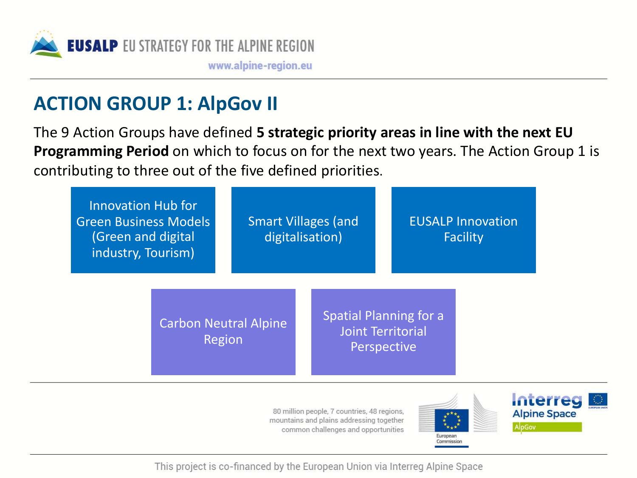

#### **ACTION GROUP 1: AlpGov II**

The 9 Action Groups have defined **5 strategic priority areas in line with the next EU Programming Period** on which to focus on for the next two years. The Action Group 1 is contributing to three out of the five defined priorities.

| Innovation Hub for<br><b>Green Business Models</b><br>(Green and digital<br>industry, Tourism) |                                               | <b>Smart Villages (and</b><br>digitalisation) |  |                                                                   | <b>EUSALP Innovation</b><br><b>Facility</b> |  |
|------------------------------------------------------------------------------------------------|-----------------------------------------------|-----------------------------------------------|--|-------------------------------------------------------------------|---------------------------------------------|--|
|                                                                                                | <b>Carbon Neutral Alpine</b><br><b>Region</b> |                                               |  | <b>Spatial Planning for a</b><br>Joint Territorial<br>Perspective |                                             |  |

80 million people, 7 countries, 48 regions, mountains and plains addressing together common challenges and opportunities

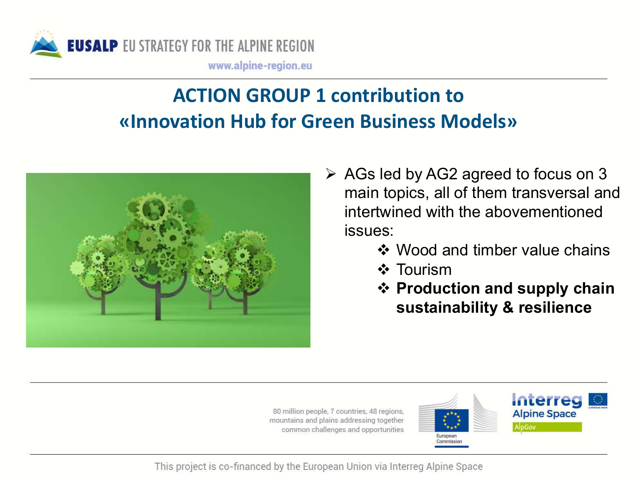

## **ACTION GROUP 1 contribution to «Innovation Hub for Green Business Models»**



- $\triangleright$  AGs led by AG2 agreed to focus on 3 main topics, all of them transversal and intertwined with the abovementioned issues:
	- ❖ Wood and timber value chains
	- $\mathbf{\hat{v}}$  Tourism
	- **❖ Production and supply chain sustainability & resilience**

80 million people, 7 countries, 48 regions, mountains and plains addressing together common challenges and opportunities

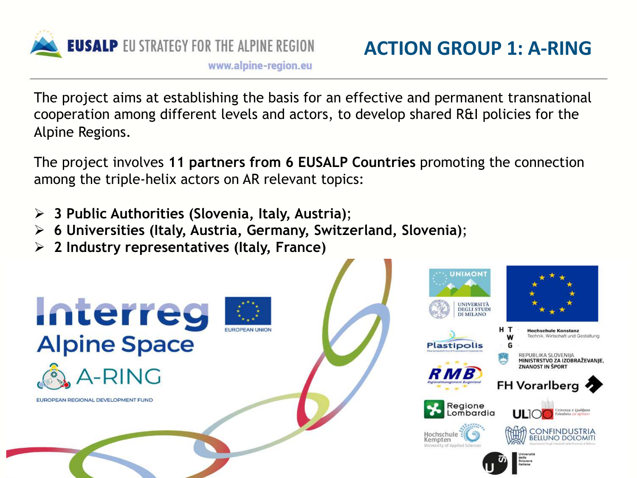

#### **ACTION GROUP 1: A-RING**

werza e Luddan

The project aims at establishing the basis for an effective and permanent transnational cooperation among different levels and actors, to develop shared R&I policies for the Alpine Regions.

The project involves **11 partners from 6 EUSALP Countries** promoting the connection among the triple-helix actors on AR relevant topics:

- Ø **3 Public Authorities (Slovenia, Italy, Austria)**;
- Ø **6 Universities (Italy, Austria, Germany, Switzerland, Slovenia)**;
- Ø **2 Industry representatives (Italy, France)**

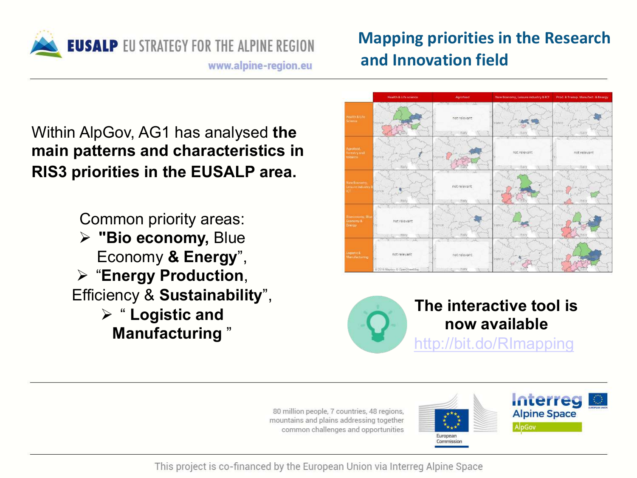

#### **Mapping priorities in the Research and Innovation field**

Within AlpGov, AG1 has analysed **the main patterns and characteristics in RIS3 priorities in the EUSALP area.**

Common priority areas:

- Ø **"Bio economy,** Blue Economy **& Energy**",
- Ø "**Energy Production**, Efficiency & **Sustainability**",
	- Ø " **Logistic and Manufacturing** "



**The interactive tool is now available**  <http://bit.do/RImapping>

80 million people, 7 countries, 48 regions, mountains and plains addressing together common challenges and opportunities

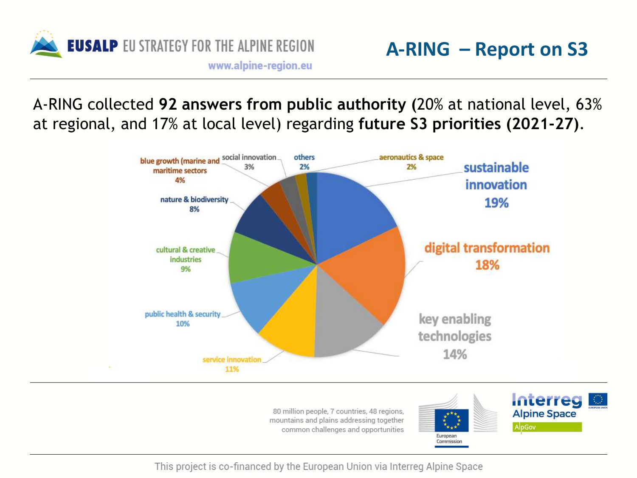

A-RING collected **92 answers from public authority (**20% at national level, 63% at regional, and 17% at local level) regarding **future S3 priorities (2021-27)**.



80 million people, 7 countries, 48 regions, mountains and plains addressing together common challenges and opportunities

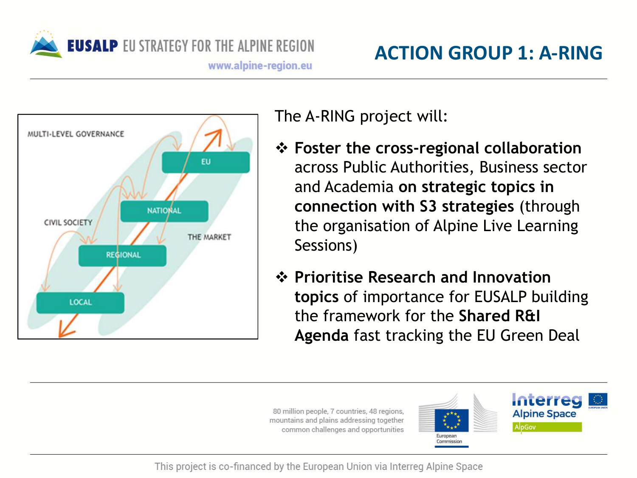



The A-RING project will:

- v **Foster the cross-regional collaboration** across Public Authorities, Business sector and Academia **on strategic topics in connection with S3 strategies** (through the organisation of Alpine Live Learning Sessions)
- v **Prioritise Research and Innovation topics** of importance for EUSALP building the framework for the **Shared R&I Agenda** fast tracking the EU Green Deal

80 million people, 7 countries, 48 regions, mountains and plains addressing together common challenges and opportunities

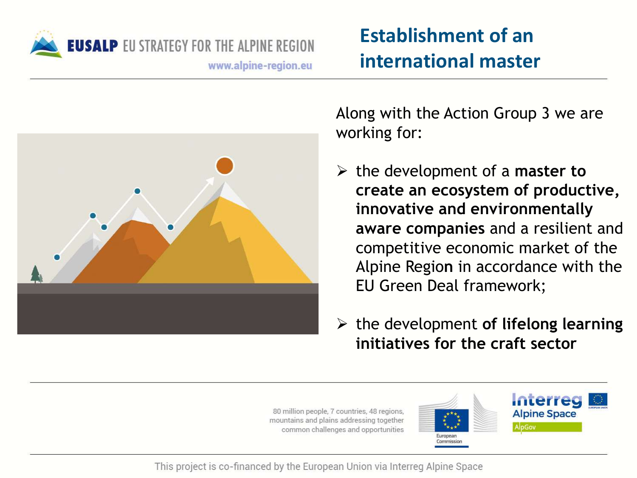



## **Establishment of an international master**

Along with the Action Group 3 we are working for:

- $\triangleright$  the development of a master to **create an ecosystem of productive, innovative and environmentally aware companies** and a resilient and competitive economic market of the Alpine Regio**n** in accordance with the EU Green Deal framework;
- Ø the development **of lifelong learning initiatives for the craft sector**

80 million people, 7 countries, 48 regions, mountains and plains addressing together common challenges and opportunities